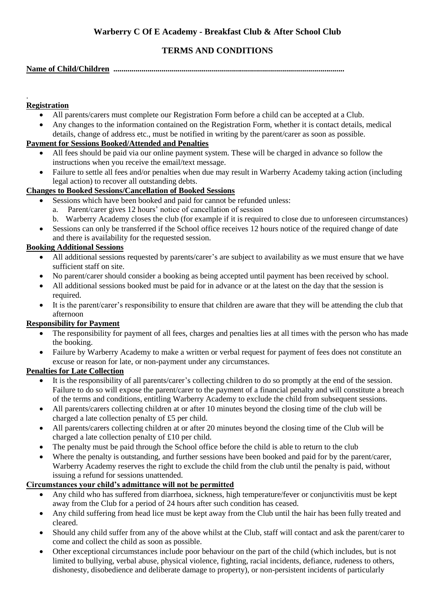# **TERMS AND CONDITIONS**

#### **Name of Child/Children ...................................................................................................................**

#### . **Registration**

- All parents/carers must complete our Registration Form before a child can be accepted at a Club.
- Any changes to the information contained on the Registration Form, whether it is contact details, medical details, change of address etc., must be notified in writing by the parent/carer as soon as possible.

## **Payment for Sessions Booked/Attended and Penalties**

- All fees should be paid via our online payment system. These will be charged in advance so follow the instructions when you receive the email/text message.
- Failure to settle all fees and/or penalties when due may result in Warberry Academy taking action (including legal action) to recover all outstanding debts.

# **Changes to Booked Sessions/Cancellation of Booked Sessions**

- Sessions which have been booked and paid for cannot be refunded unless:
	- a. Parent/carer gives 12 hours' notice of cancellation of session
	- b. Warberry Academy closes the club (for example if it is required to close due to unforeseen circumstances)
- Sessions can only be transferred if the School office receives 12 hours notice of the required change of date and there is availability for the requested session.

# **Booking Additional Sessions**

- All additional sessions requested by parents/carer's are subject to availability as we must ensure that we have sufficient staff on site.
- No parent/carer should consider a booking as being accepted until payment has been received by school.
- All additional sessions booked must be paid for in advance or at the latest on the day that the session is required.
- It is the parent/carer's responsibility to ensure that children are aware that they will be attending the club that afternoon

# **Responsibility for Payment**

- The responsibility for payment of all fees, charges and penalties lies at all times with the person who has made the booking.
- Failure by Warberry Academy to make a written or verbal request for payment of fees does not constitute an excuse or reason for late, or non-payment under any circumstances.

#### **Penalties for Late Collection**

- It is the responsibility of all parents/carer's collecting children to do so promptly at the end of the session. Failure to do so will expose the parent/carer to the payment of a financial penalty and will constitute a breach of the terms and conditions, entitling Warberry Academy to exclude the child from subsequent sessions.
- All parents/carers collecting children at or after 10 minutes beyond the closing time of the club will be charged a late collection penalty of £5 per child.
- All parents/carers collecting children at or after 20 minutes beyond the closing time of the Club will be charged a late collection penalty of £10 per child.
- The penalty must be paid through the School office before the child is able to return to the club
- Where the penalty is outstanding, and further sessions have been booked and paid for by the parent/carer, Warberry Academy reserves the right to exclude the child from the club until the penalty is paid, without issuing a refund for sessions unattended.

# **Circumstances your child's admittance will not be permitted**

- Any child who has suffered from diarrhoea, sickness, high temperature/fever or conjunctivitis must be kept away from the Club for a period of 24 hours after such condition has ceased.
- Any child suffering from head lice must be kept away from the Club until the hair has been fully treated and cleared.
- Should any child suffer from any of the above whilst at the Club, staff will contact and ask the parent/carer to come and collect the child as soon as possible.
- Other exceptional circumstances include poor behaviour on the part of the child (which includes, but is not limited to bullying, verbal abuse, physical violence, fighting, racial incidents, defiance, rudeness to others, dishonesty, disobedience and deliberate damage to property), or non-persistent incidents of particularly